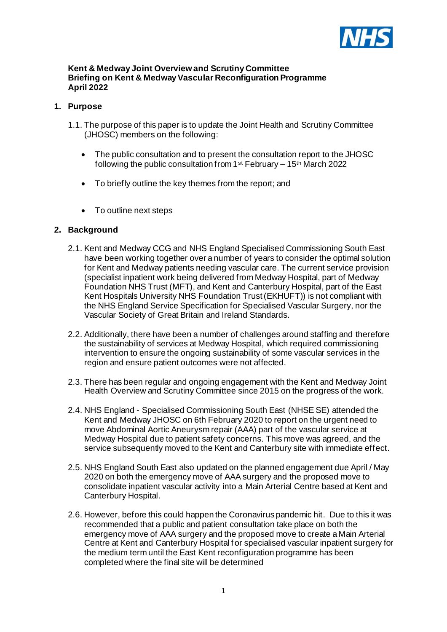

#### **Kent & Medway Joint Overview and Scrutiny Committee Briefing on Kent & Medway Vascular Reconfiguration Programme April 2022**

## **1. Purpose**

- 1.1. The purpose of this paper is to update the Joint Health and Scrutiny Committee (JHOSC) members on the following:
	- The public consultation and to present the consultation report to the JHOSC following the public consultation from 1<sup>st</sup> February – 15<sup>th</sup> March 2022
	- To briefly outline the key themes from the report; and
	- To outline next steps

## **2. Background**

- 2.1. Kent and Medway CCG and NHS England Specialised Commissioning South East have been working together over a number of years to consider the optimal solution for Kent and Medway patients needing vascular care. The current service provision (specialist inpatient work being delivered from Medway Hospital, part of Medway Foundation NHS Trust (MFT), and Kent and Canterbury Hospital, part of the East Kent Hospitals University NHS Foundation Trust (EKHUFT)) is not compliant with the NHS England Service Specification for Specialised Vascular Surgery, nor the Vascular Society of Great Britain and Ireland Standards.
- 2.2. Additionally, there have been a number of challenges around staffing and therefore the sustainability of services at Medway Hospital, which required commissioning intervention to ensure the ongoing sustainability of some vascular services in the region and ensure patient outcomes were not affected.
- 2.3. There has been regular and ongoing engagement with the Kent and Medway Joint Health Overview and Scrutiny Committee since 2015 on the progress of the work.
- 2.4. NHS England Specialised Commissioning South East (NHSE SE) attended the Kent and Medway JHOSC on 6th February 2020 to report on the urgent need to move Abdominal Aortic Aneurysm repair (AAA) part of the vascular service at Medway Hospital due to patient safety concerns. This move was agreed, and the service subsequently moved to the Kent and Canterbury site with immediate effect.
- 2.5. NHS England South East also updated on the planned engagement due April / May 2020 on both the emergency move of AAA surgery and the proposed move to consolidate inpatient vascular activity into a Main Arterial Centre based at Kent and Canterbury Hospital.
- 2.6. However, before this could happen the Coronavirus pandemic hit. Due to this it was recommended that a public and patient consultation take place on both the emergency move of AAA surgery and the proposed move to create a Main Arterial Centre at Kent and Canterbury Hospital for specialised vascular inpatient surgery for the medium term until the East Kent reconfiguration programme has been completed where the final site will be determined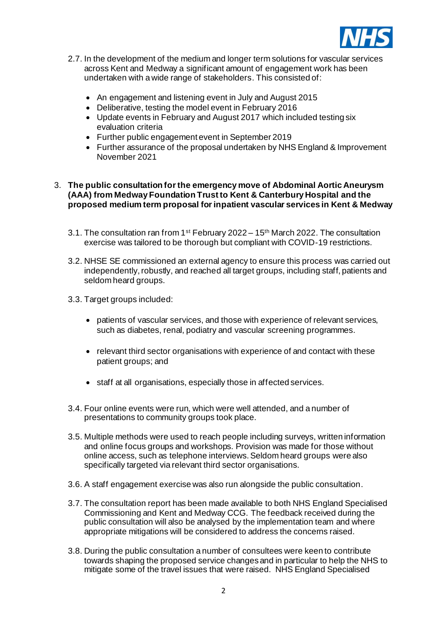

- 2.7. In the development of the medium and longer term solutions for vascular services across Kent and Medway a significant amount of engagement work has been undertaken with a wide range of stakeholders. This consisted of:
	- An engagement and listening event in July and August 2015
	- Deliberative, testing the model event in February 2016
	- Update events in February and August 2017 which included testing six evaluation criteria
	- Further public engagement event in September 2019
	- Further assurance of the proposal undertaken by NHS England & Improvement November 2021

## 3. **The public consultation forthe emergency move of Abdominal Aortic Aneurysm (AAA) from Medway Foundation Trust to Kent & Canterbury Hospital and the proposed medium term proposal for inpatient vascular services in Kent & Medway**

- 3.1. The consultation ran from 1st February 2022 15th March 2022. The consultation exercise was tailored to be thorough but compliant with COVID-19 restrictions.
- 3.2. NHSE SE commissioned an external agency to ensure this process was carried out independently, robustly, and reached all target groups, including staff, patients and seldom heard groups.
- 3.3. Target groups included:
	- patients of vascular services, and those with experience of relevant services, such as diabetes, renal, podiatry and vascular screening programmes.
	- relevant third sector organisations with experience of and contact with these patient groups; and
	- staff at all organisations, especially those in affected services.
- 3.4. Four online events were run, which were well attended, and a number of presentations to community groups took place.
- 3.5. Multiple methods were used to reach people including surveys, written information and online focus groups and workshops. Provision was made for those without online access, such as telephone interviews. Seldom heard groups were also specifically targeted via relevant third sector organisations.
- 3.6. A staff engagement exercise was also run alongside the public consultation.
- 3.7. The consultation report has been made available to both NHS England Specialised Commissioning and Kent and Medway CCG. The feedback received during the public consultation will also be analysed by the implementation team and where appropriate mitigations will be considered to address the concerns raised.
- 3.8. During the public consultation a number of consultees were keen to contribute towards shaping the proposed service changes and in particular to help the NHS to mitigate some of the travel issues that were raised. NHS England Specialised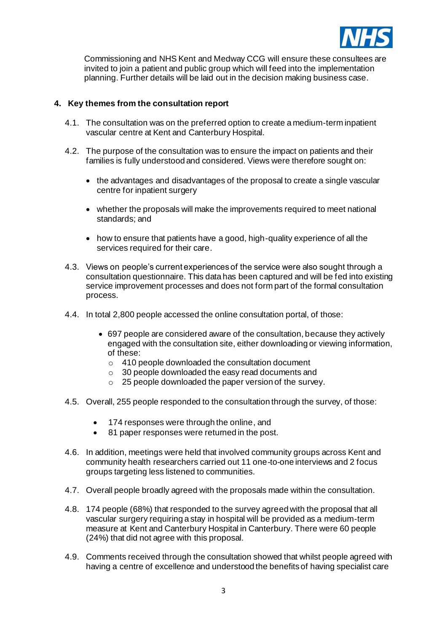

Commissioning and NHS Kent and Medway CCG will ensure these consultees are invited to join a patient and public group which will feed into the implementation planning. Further details will be laid out in the decision making business case.

#### **4. Key themes from the consultation report**

- 4.1. The consultation was on the preferred option to create a medium-term inpatient vascular centre at Kent and Canterbury Hospital.
- 4.2. The purpose of the consultation was to ensure the impact on patients and their families is fully understood and considered. Views were therefore sought on:
	- the advantages and disadvantages of the proposal to create a single vascular centre for inpatient surgery
	- whether the proposals will make the improvements required to meet national standards; and
	- how to ensure that patients have a good, high-quality experience of all the services required for their care.
- 4.3. Views on people's current experiences of the service were also sought through a consultation questionnaire. This data has been captured and will be fed into existing service improvement processes and does not form part of the formal consultation process.
- 4.4. In total 2,800 people accessed the online consultation portal, of those:
	- 697 people are considered aware of the consultation, because they actively engaged with the consultation site, either downloading or viewing information, of these:
		- o 410 people downloaded the consultation document
		- o 30 people downloaded the easy read documents and
		- o 25 people downloaded the paper version of the survey.
- 4.5. Overall, 255 people responded to the consultation through the survey, of those:
	- 174 responses were through the online, and
	- 81 paper responses were returned in the post.
- 4.6. In addition, meetings were held that involved community groups across Kent and community health researchers carried out 11 one-to-one interviews and 2 focus groups targeting less listened to communities.
- 4.7. Overall people broadly agreed with the proposals made within the consultation.
- 4.8. 174 people (68%) that responded to the survey agreed with the proposal that all vascular surgery requiring a stay in hospital will be provided as a medium-term measure at Kent and Canterbury Hospital in Canterbury. There were 60 people (24%) that did not agree with this proposal.
- 4.9. Comments received through the consultation showed that whilst people agreed with having a centre of excellence and understood the benefits of having specialist care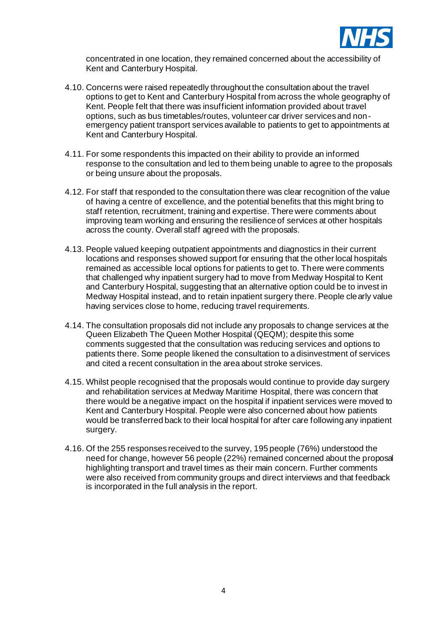

concentrated in one location, they remained concerned about the accessibility of Kent and Canterbury Hospital.

- 4.10. Concerns were raised repeatedly throughout the consultation about the travel options to get to Kent and Canterbury Hospital from across the whole geography of Kent. People felt that there was insufficient information provided about travel options, such as bus timetables/routes, volunteer car driver services and nonemergency patient transport services available to patients to get to appointments at Kent and Canterbury Hospital.
- 4.11. For some respondents this impacted on their ability to provide an informed response to the consultation and led to them being unable to agree to the proposals or being unsure about the proposals.
- 4.12. For staff that responded to the consultation there was clear recognition of the value of having a centre of excellence, and the potential benefits that this might bring to staff retention, recruitment, training and expertise. There were comments about improving team working and ensuring the resilience of services at other hospitals across the county. Overall staff agreed with the proposals.
- 4.13. People valued keeping outpatient appointments and diagnostics in their current locations and responses showed support for ensuring that the other local hospitals remained as accessible local options for patients to get to. There were comments that challenged why inpatient surgery had to move from Medway Hospital to Kent and Canterbury Hospital, suggesting that an alternative option could be to invest in Medway Hospital instead, and to retain inpatient surgery there. People clearly value having services close to home, reducing travel requirements.
- 4.14. The consultation proposals did not include any proposals to change services at the Queen Elizabeth The Queen Mother Hospital (QEQM); despite this some comments suggested that the consultation was reducing services and options to patients there. Some people likened the consultation to a disinvestment of services and cited a recent consultation in the area about stroke services.
- 4.15. Whilst people recognised that the proposals would continue to provide day surgery and rehabilitation services at Medway Maritime Hospital, there was concern that there would be a negative impact on the hospital if inpatient services were moved to Kent and Canterbury Hospital. People were also concerned about how patients would be transferred back to their local hospital for after care following any inpatient surgery.
- 4.16. Of the 255 responses received to the survey, 195 people (76%) understood the need for change, however 56 people (22%) remained concerned about the proposal highlighting transport and travel times as their main concern. Further comments were also received from community groups and direct interviews and that feedback is incorporated in the full analysis in the report.